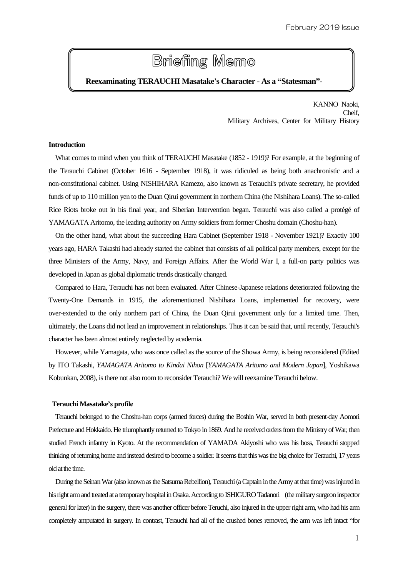# **Briefing Memo**

# **Reexaminating TERAUCHI Masatake's Character - As a "Statesman"-**

KANNO Naoki, Cheif, Military Archives, Center for Military History

## **Introduction**

What comes to mind when you think of TERAUCHI Masatake (1852 - 1919)? For example, at the beginning of the Terauchi Cabinet (October 1616 - September 1918), it was ridiculed as being both anachronistic and a non-constitutional cabinet. Using NISHIHARA Kamezo, also known as Terauchi's private secretary, he provided funds of up to 110 million yen to the Duan Qirui government in northern China (the Nishihara Loans). The so-called Rice Riots broke out in his final year, and Siberian Intervention began. Terauchi was also called a protégé of YAMAGATA Aritomo, the leading authority on Army soldiers from former Choshu domain (Choshu-han).

On the other hand, what about the succeeding Hara Cabinet (September 1918 - November 1921)? Exactly 100 years ago, HARA Takashi had already started the cabinet that consists of all political party members, except for the three Ministers of the Army, Navy, and Foreign Affairs. After the World War I, a full-on party politics was developed in Japan as global diplomatic trends drastically changed.

Compared to Hara, Terauchi has not been evaluated. After Chinese-Japanese relations deteriorated following the Twenty-One Demands in 1915, the aforementioned Nishihara Loans, implemented for recovery, were over-extended to the only northern part of China, the Duan Qirui government only for a limited time. Then, ultimately, the Loans did not lead an improvement in relationships. Thus it can be said that, until recently, Terauchi's character has been almost entirely neglected by academia.

However, while Yamagata, who was once called as the source of the Showa Army, is being reconsidered (Edited by ITO Takashi, *YAMAGATA Aritomo to Kindai Nihon* [*YAMAGATA Aritomo and Modern Japan*], Yoshikawa Kobunkan, 2008), is there not also room to reconsider Terauchi? We will reexamine Terauchi below.

#### **Terauchi Masatake's profile**

Terauchi belonged to the Choshu-han corps (armed forces) during the Boshin War, served in both present-day Aomori Prefecture and Hokkaido. He triumphantly returned to Tokyo in 1869. And he received orders from the Ministry of War, then studied French infantry in Kyoto. At the recommendation of YAMADA Akiyoshi who was his boss, Terauchi stopped thinking of returning home and instead desired to become a soldier. It seems that this was the big choice for Terauchi, 17 years old at the time.

During the Seinan War (also known as the Satsuma Rebellion), Terauchi (a Captain in the Army at that time) was injured in his right arm and treated at a temporary hospital in Osaka. According to ISHIGURO Tadanori (the military surgeon inspector general for later) in the surgery, there was another officer before Teruchi, also injured in the upper right arm, who had his arm completely amputated in surgery. In contrast, Terauchi had all of the crushed bones removed, the arm was left intact "for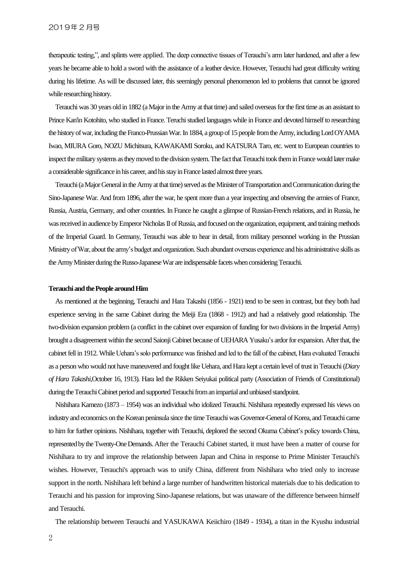therapeutic testing,", and splints were applied. The deep connective tissues of Terauchi's arm later hardened, and after a few years he became able to hold a sword with the assistance of a leather device. However, Terauchi had great difficulty writing during his lifetime. As will be discussed later, this seemingly personal phenomenon led to problems that cannot be ignored while researching history.

Terauchi was 30 years old in 1882 (a Major in the Army at that time) and sailed overseas for the first time as an assistant to Prince Kan'in Kotohito, who studied in France. Teruchi studied languages while in France and devoted himself to researching the history of war, including the Franco-Prussian War. In 1884, a group of 15 people from the Army, including Lord OYAMA Iwao, MIURA Goro, NOZU Michitsura, KAWAKAMI Soroku, and KATSURA Taro, etc. went to European countries to inspect the military systems as they moved to the division system. The fact that Terauchi took themin France would later make a considerable significance in his career, and his stay in France lasted almost three years.

Terauchi (a Major General in the Army at that time) served as the Minister of Transportation and Communicationduring the Sino-Japanese War. And from 1896, after the war, he spent more than a year inspecting and observing the armies of France, Russia, Austria, Germany, and other countries. In France he caught a glimpse of Russian-French relations, and in Russia, he was received in audience by Emperor Nicholas II of Russia, and focused on the organization, equipment, and training methods of the Imperial Guard. In Germany, Terauchi was able to hear in detail, from military personnel working in the Prussian Ministry of War, about the army's budget and organization. Such abundant overseas experience and his administrative skills as theArmy Minister during the Russo-Japanese War are indispensable facets when considering Terauchi.

#### **Terauchi and the People around Him**

As mentioned at the beginning, Terauchi and Hara Takashi (1856 - 1921) tend to be seen in contrast, but they both had experience serving in the same Cabinet during the Meiji Era (1868 - 1912) and had a relatively good relationship. The two-division expansion problem (a conflict in the cabinet over expansion of funding for two divisions in the Imperial Army) brought a disagreement within the second Saionji Cabinet because of UEHARA Yusaku's ardor for expansion. After that, the cabinet fell in 1912. While Uehara's solo performance was finished and led to the fall of the cabinet, Hara evaluated Terauchi as a person who would not have maneuvered and fought like Uehara, and Hara kept a certain level of trust in Terauchi (*Diary of Hara Takashi*,October 16, 1913). Hara led the Rikken Seiyukai political party (Association of Friends of Constitutional) during the Terauchi Cabinet period and supported Terauchi from an impartial and unbiased standpoint.

Nishihara Kamezo (1873 – 1954) was an individual who idolized Terauchi. Nishihara repeatedly expressed his views on industry and economics on the Korean peninsula since the time Terauchi was Governor-General of Korea, and Terauchi came to him for further opinions. Nishihara, together with Terauchi, deplored the second Okuma Cabinet's policy towards China, represented by the Twenty-One Demands. After the Terauchi Cabinet started, it must have been a matter of course for Nishihara to try and improve the relationship between Japan and China in response to Prime Minister Terauchi's wishes. However, Terauchi's approach was to unify China, different from Nishihara who tried only to increase support in the north. Nishihara left behind a large number of handwritten historical materials due to his dedication to Terauchi and his passion for improving Sino-Japanese relations, but was unaware of the difference between himself and Terauchi.

The relationship between Terauchi and YASUKAWA Keiichiro (1849 - 1934), a titan in the Kyushu industrial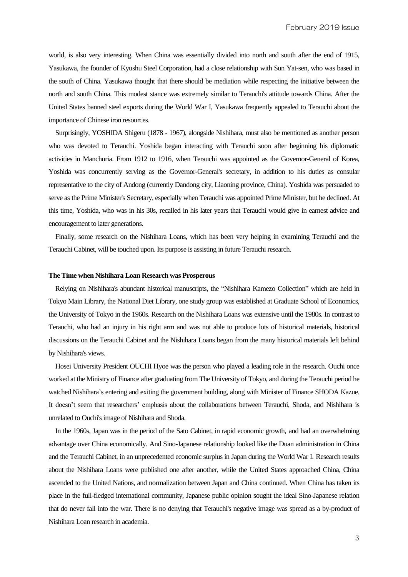world, is also very interesting. When China was essentially divided into north and south after the end of 1915, Yasukawa, the founder of Kyushu Steel Corporation, had a close relationship with Sun Yat-sen, who was based in the south of China. Yasukawa thought that there should be mediation while respecting the initiative between the north and south China. This modest stance was extremely similar to Terauchi's attitude towards China. After the United States banned steel exports during the World War I, Yasukawa frequently appealed to Terauchi about the importance of Chinese iron resources.

Surprisingly, YOSHIDA Shigeru (1878 - 1967), alongside Nishihara, must also be mentioned as another person who was devoted to Terauchi. Yoshida began interacting with Terauchi soon after beginning his diplomatic activities in Manchuria. From 1912 to 1916, when Terauchi was appointed as the Governor-General of Korea, Yoshida was concurrently serving as the Governor-General's secretary, in addition to his duties as consular representative to the city of Andong (currently Dandong city, Liaoning province, China). Yoshida was persuaded to serve as the Prime Minister's Secretary, especially when Terauchi was appointed Prime Minister, but he declined. At this time, Yoshida, who was in his 30s, recalled in his later years that Terauchi would give in earnest advice and encouragement to later generations.

Finally, some research on the Nishihara Loans, which has been very helping in examining Terauchi and the Terauchi Cabinet, will be touched upon. Its purpose is assisting in future Terauchi research.

#### **The Time when Nishihara Loan Research was Prosperous**

Relying on Nishihara's abundant historical manuscripts, the "Nishihara Kamezo Collection" which are held in Tokyo Main Library, the National Diet Library, one study group was established at Graduate School of Economics, the University of Tokyo in the 1960s. Research on the Nishihara Loans was extensive until the 1980s. In contrast to Terauchi, who had an injury in his right arm and was not able to produce lots of historical materials, historical discussions on the Terauchi Cabinet and the Nishihara Loans began from the many historical materials left behind by Nishihara's views.

Hosei University President OUCHI Hyoe was the person who played a leading role in the research. Ouchi once worked at the Ministry of Finance after graduating from The University of Tokyo, and during the Terauchi period he watched Nishihara's entering and exiting the government building, along with Minister of Finance SHODA Kazue. It doesn't seem that researchers' emphasis about the collaborations between Terauchi, Shoda, and Nishihara is unrelated to Ouchi's image of Nishihara and Shoda.

In the 1960s, Japan was in the period of the Sato Cabinet, in rapid economic growth, and had an overwhelming advantage over China economically. And Sino-Japanese relationship looked like the Duan administration in China and the Terauchi Cabinet, in an unprecedented economic surplus in Japan during the World War I. Research results about the Nishihara Loans were published one after another, while the United States approached China, China ascended to the United Nations, and normalization between Japan and China continued. When China has taken its place in the full-fledged international community, Japanese public opinion sought the ideal Sino-Japanese relation that do never fall into the war. There is no denying that Terauchi's negative image was spread as a by-product of Nishihara Loan research in academia.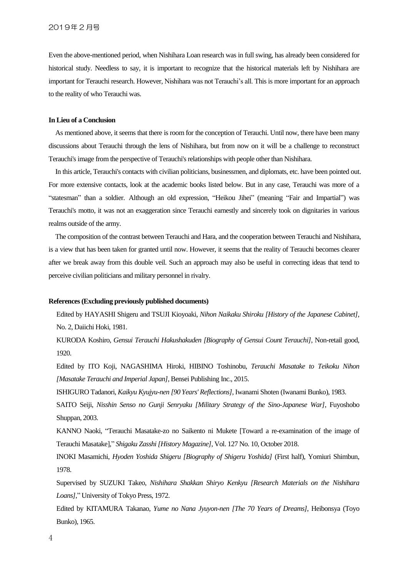Even the above-mentioned period, when Nishihara Loan research was in full swing, has already been considered for historical study. Needless to say, it is important to recognize that the historical materials left by Nishihara are important for Terauchi research. However, Nishihara was not Terauchi's all. This is more important for an approach to the reality of who Terauchi was.

### **In Lieu of a Conclusion**

As mentioned above, it seems that there is room for the conception of Terauchi. Until now, there have been many discussions about Terauchi through the lens of Nishihara, but from now on it will be a challenge to reconstruct Terauchi's image from the perspective of Terauchi's relationships with people other than Nishihara.

In this article, Terauchi's contacts with civilian politicians, businessmen, and diplomats, etc. have been pointed out. For more extensive contacts, look at the academic books listed below. But in any case, Terauchi was more of a "statesman" than a soldier. Although an old expression, "Heikou Jihei" (meaning "Fair and Impartial") was Terauchi's motto, it was not an exaggeration since Terauchi earnestly and sincerely took on dignitaries in various realms outside of the army.

The composition of the contrast between Terauchi and Hara, and the cooperation between Terauchi and Nishihara, is a view that has been taken for granted until now. However, it seems that the reality of Terauchi becomes clearer after we break away from this double veil. Such an approach may also be useful in correcting ideas that tend to perceive civilian politicians and military personnel in rivalry.

#### **References (Excluding previously published documents)**

Edited by HAYASHI Shigeru and TSUJI Kioyoaki, *Nihon Naikaku Shiroku [History of the Japanese Cabinet]*, No. 2, Daiichi Hoki, 1981.

KURODA Koshiro, *Gensui Terauchi Hakushakuden [Biography of Gensui Count Terauchi]*, Non-retail good, 1920.

Edited by ITO Koji, NAGASHIMA Hiroki, HIBINO Toshinobu, *Terauchi Masatake to Teikoku Nihon [Masatake Terauchi and Imperial Japan]*, Bensei Publishing Inc., 2015.

ISHIGURO Tadanori, *Kaikyu Kyujyu-nen [90 Years' Reflections]*, Iwanami Shoten (Iwanami Bunko), 1983.

SAITO Seiji, *Nisshin Senso no Gunji Senryaku [Military Strategy of the Sino-Japanese War]*, Fuyoshobo Shuppan, 2003.

KANNO Naoki, "Terauchi Masatake-zo no Saikento ni Mukete [Toward a re-examination of the image of Terauchi Masatake]," *Shigaku Zasshi [History Magazine]*, Vol. 127 No. 10, October 2018.

INOKI Masamichi, *Hyoden Yoshida Shigeru [Biography of Shigeru Yoshida]* (First half), Yomiuri Shimbun, 1978.

Supervised by SUZUKI Takeo, *Nishihara Shakkan Shiryo Kenkyu [Research Materials on the Nishihara Loans]*," University of Tokyo Press, 1972.

Edited by KITAMURA Takanao, *Yume no Nana Jyuyon-nen [The 70 Years of Dreams]*, Heibonsya (Toyo Bunko), 1965.